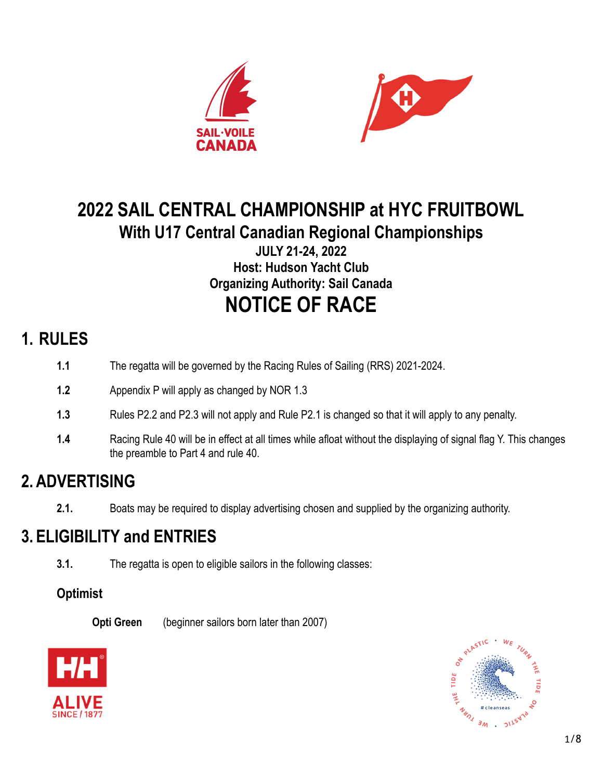



# **2022 SAIL CENTRAL CHAMPIONSHIP at HYC FRUITBOWL With U17 Central Canadian Regional Championships**

**JULY 21-24, 2022 Host: Hudson Yacht Club Organizing Authority: Sail Canada NOTICE OF RACE**

## **1. RULES**

- **1.1** The regatta will be governed by the Racing Rules of Sailing (RRS) 2021-2024.
- **1.2** Appendix P will apply as changed by NOR 1.3
- **1.3** Rules P2.2 and P2.3 will not apply and Rule P2.1 is changed so that it will apply to any penalty.
- **1.4** Racing Rule 40 will be in effect at all times while afloat without the displaying of signal flag Y. This changes the preamble to Part 4 and rule 40.

## **2. ADVERTISING**

**2.1.** Boats may be required to display advertising chosen and supplied by the organizing authority.

## **3. ELIGIBILITY and ENTRIES**

**3.1.** The regatta is open to eligible sailors in the following classes:

#### **Optimist**

**Opti Green** (beginner sailors born later than 2007)



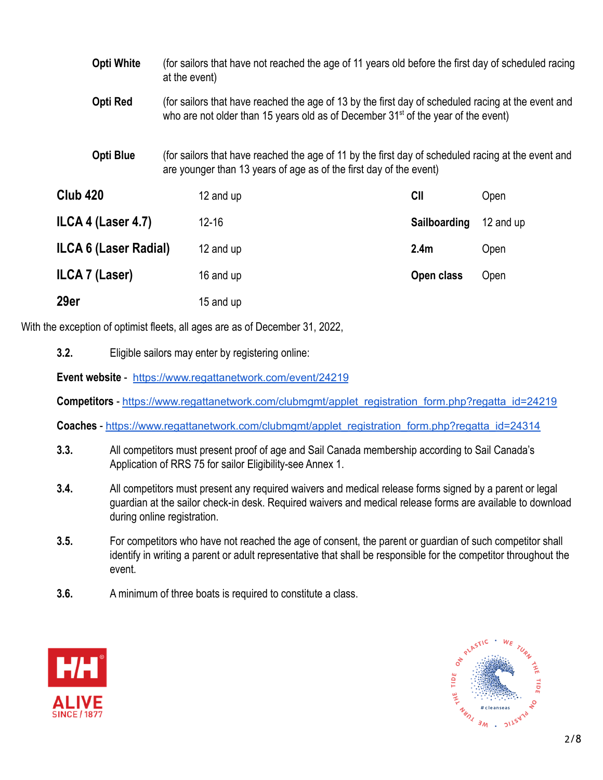| <b>Opti White</b><br>Opti Red |                  | at the event)                                                                                                                                                            | (for sailors that have not reached the age of 11 years old before the first day of scheduled racing                                                                                                 |                  |           |  |
|-------------------------------|------------------|--------------------------------------------------------------------------------------------------------------------------------------------------------------------------|-----------------------------------------------------------------------------------------------------------------------------------------------------------------------------------------------------|------------------|-----------|--|
|                               |                  |                                                                                                                                                                          | (for sailors that have reached the age of 13 by the first day of scheduled racing at the event and<br>who are not older than 15 years old as of December 31 <sup>st</sup> of the year of the event) |                  |           |  |
|                               | <b>Opti Blue</b> | (for sailors that have reached the age of 11 by the first day of scheduled racing at the event and<br>are younger than 13 years of age as of the first day of the event) |                                                                                                                                                                                                     |                  |           |  |
| <b>Club 420</b>               |                  |                                                                                                                                                                          | 12 and up                                                                                                                                                                                           | CII              | Open      |  |
| ILCA 4 (Laser 4.7)            |                  |                                                                                                                                                                          | $12 - 16$                                                                                                                                                                                           | Sailboarding     | 12 and up |  |
| ILCA 6 (Laser Radial)         |                  |                                                                                                                                                                          | 12 and up                                                                                                                                                                                           | 2.4 <sub>m</sub> | Open      |  |
| ILCA 7 (Laser)                |                  |                                                                                                                                                                          | 16 and up                                                                                                                                                                                           | Open class       | Open      |  |
| 29er                          |                  |                                                                                                                                                                          | 15 and up                                                                                                                                                                                           |                  |           |  |

With the exception of optimist fleets, all ages are as of December 31, 2022,

**3.2.** Eligible sailors may enter by registering online:

**Event website** - <https://www.regattanetwork.com/event/24219>

**Competitors** - [https://www.regattanetwork.com/clubmgmt/applet\\_registration\\_form.php?regatta\\_id=24219](https://www.regattanetwork.com/clubmgmt/applet_registration_form.php?regatta_id=24219)

**Coaches** - [https://www.regattanetwork.com/clubmgmt/applet\\_registration\\_form.php?regatta\\_id=24314](https://www.regattanetwork.com/clubmgmt/applet_registration_form.php?regatta_id=24314)

- **3.3.** All competitors must present proof of age and Sail Canada membership according to Sail Canada's Application of RRS 75 for sailor Eligibility-see Annex 1.
- **3.4.** All competitors must present any required waivers and medical release forms signed by a parent or legal guardian at the sailor check-in desk. Required waivers and medical release forms are available to download during online registration.
- **3.5.** For competitors who have not reached the age of consent, the parent or guardian of such competitor shall identify in writing a parent or adult representative that shall be responsible for the competitor throughout the event.
- **3.6.** A minimum of three boats is required to constitute a class.



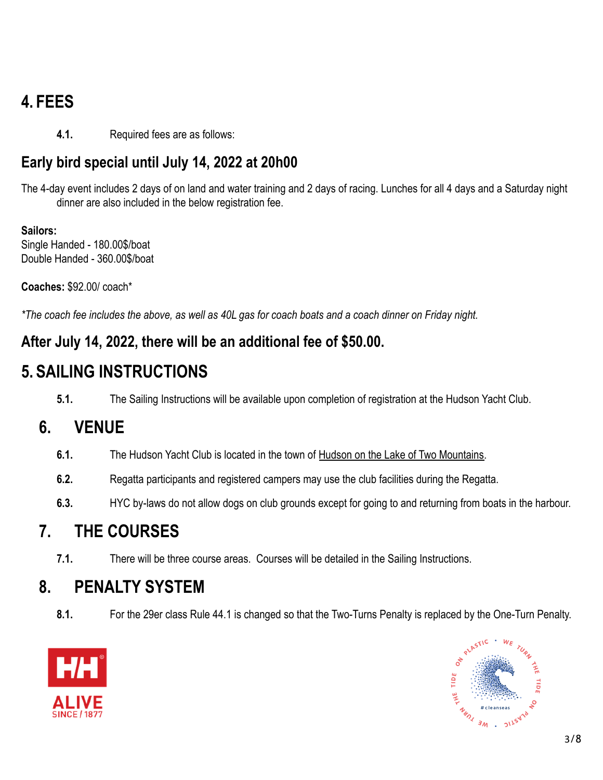# **4. FEES**

**4.1.** Required fees are as follows:

#### **Early bird special until July 14, 2022 at 20h00**

The 4-day event includes 2 days of on land and water training and 2 days of racing. Lunches for all 4 days and a Saturday night dinner are also included in the below registration fee.

**Sailors:** Single Handed - 180.00\$/boat Double Handed - 360.00\$/boat

**Coaches:** \$92.00/ coach\*

*\*The coach fee includes the above, as well as 40L gas for coach boats and a coach dinner on Friday night.*

#### **After July 14, 2022, there will be an additional fee of \$50.00.**

## **5. SAILING INSTRUCTIONS**

**5.1.** The Sailing Instructions will be available upon completion of registration at the Hudson Yacht Club.

## **6. VENUE**

- **6.1.** The Hudson Yacht Club is located in the town of Hudson [on the Lake of Two Mountains.](https://goo.gl/maps/R2tdRm8K3X92)
- **6.2.** Regatta participants and registered campers may use the club facilities during the Regatta.
- **6.3.** HYC by-laws do not allow dogs on club grounds except for going to and returning from boats in the harbour.

## **7. THE COURSES**

**7.1.** There will be three course areas. Courses will be detailed in the Sailing Instructions.

#### **8. PENALTY SYSTEM**

**8.1.** For the 29er class Rule 44.1 is changed so that the Two-Turns Penalty is replaced by the One-Turn Penalty.



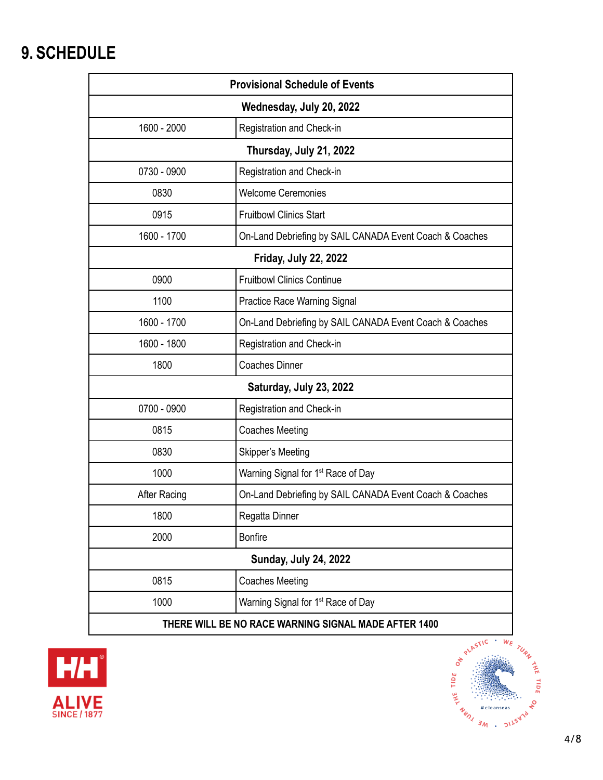# **9. SCHEDULE**

| <b>Provisional Schedule of Events</b>                |                                                         |  |  |  |  |
|------------------------------------------------------|---------------------------------------------------------|--|--|--|--|
| Wednesday, July 20, 2022                             |                                                         |  |  |  |  |
| 1600 - 2000                                          | Registration and Check-in                               |  |  |  |  |
| Thursday, July 21, 2022                              |                                                         |  |  |  |  |
| 0730 - 0900                                          | Registration and Check-in                               |  |  |  |  |
| 0830                                                 | <b>Welcome Ceremonies</b>                               |  |  |  |  |
| 0915                                                 | <b>Fruitbowl Clinics Start</b>                          |  |  |  |  |
| 1600 - 1700                                          | On-Land Debriefing by SAIL CANADA Event Coach & Coaches |  |  |  |  |
| <b>Friday, July 22, 2022</b>                         |                                                         |  |  |  |  |
| 0900                                                 | <b>Fruitbowl Clinics Continue</b>                       |  |  |  |  |
| 1100                                                 | Practice Race Warning Signal                            |  |  |  |  |
| 1600 - 1700                                          | On-Land Debriefing by SAIL CANADA Event Coach & Coaches |  |  |  |  |
| 1600 - 1800                                          | Registration and Check-in                               |  |  |  |  |
| 1800                                                 | <b>Coaches Dinner</b>                                   |  |  |  |  |
| Saturday, July 23, 2022                              |                                                         |  |  |  |  |
| 0700 - 0900                                          | Registration and Check-in                               |  |  |  |  |
| 0815                                                 | <b>Coaches Meeting</b>                                  |  |  |  |  |
| 0830                                                 | Skipper's Meeting                                       |  |  |  |  |
| 1000                                                 | Warning Signal for 1 <sup>st</sup> Race of Day          |  |  |  |  |
| <b>After Racing</b>                                  | On-Land Debriefing by SAIL CANADA Event Coach & Coaches |  |  |  |  |
| 1800                                                 | Regatta Dinner                                          |  |  |  |  |
| 2000                                                 | <b>Bonfire</b>                                          |  |  |  |  |
| <b>Sunday, July 24, 2022</b>                         |                                                         |  |  |  |  |
| 0815                                                 | <b>Coaches Meeting</b>                                  |  |  |  |  |
| 1000                                                 | Warning Signal for 1 <sup>st</sup> Race of Day          |  |  |  |  |
| THERE WILL BE NO RACE WARNING SIGNAL MADE AFTER 1400 |                                                         |  |  |  |  |



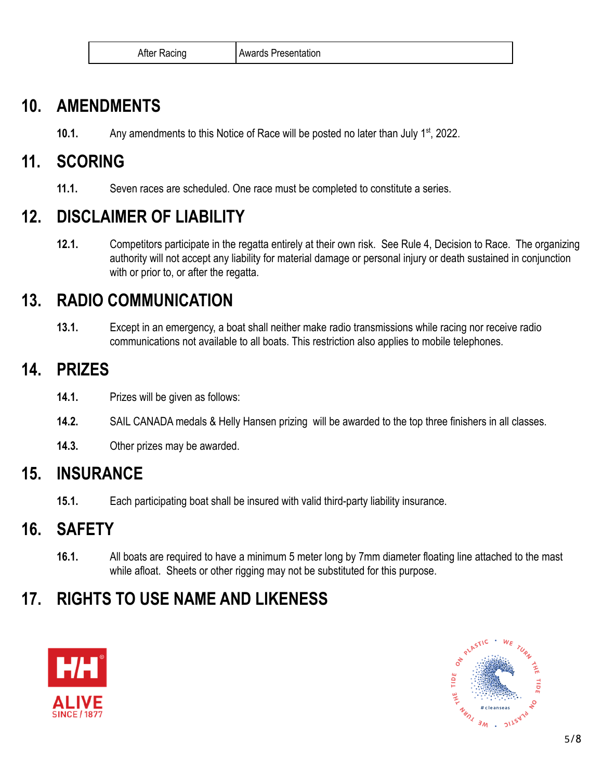| After Racing | l Awards Presentation |
|--------------|-----------------------|
|--------------|-----------------------|

### **10. AMENDMENTS**

**10.1.** Any amendments to this Notice of Race will be posted no later than July 1<sup>st</sup>, 2022.

## **11. SCORING**

**11.1.** Seven races are scheduled. One race must be completed to constitute a series.

## **12. DISCLAIMER OF LIABILITY**

**12.1.** Competitors participate in the regatta entirely at their own risk. See Rule 4, Decision to Race. The organizing authority will not accept any liability for material damage or personal injury or death sustained in conjunction with or prior to, or after the regatta.

## **13. RADIO COMMUNICATION**

**13.1.** Except in an emergency, a boat shall neither make radio transmissions while racing nor receive radio communications not available to all boats. This restriction also applies to mobile telephones.

### **14. PRIZES**

- **14.1.** Prizes will be given as follows:
- **14.2.** SAIL CANADA medals & Helly Hansen prizing will be awarded to the top three finishers in all classes.
- **14.3.** Other prizes may be awarded.

## **15. INSURANCE**

**15.1.** Each participating boat shall be insured with valid third-party liability insurance.

#### **16. SAFETY**

**16.1.** All boats are required to have a minimum 5 meter long by 7mm diameter floating line attached to the mast while afloat. Sheets or other rigging may not be substituted for this purpose.

## **17. RIGHTS TO USE NAME AND LIKENESS**



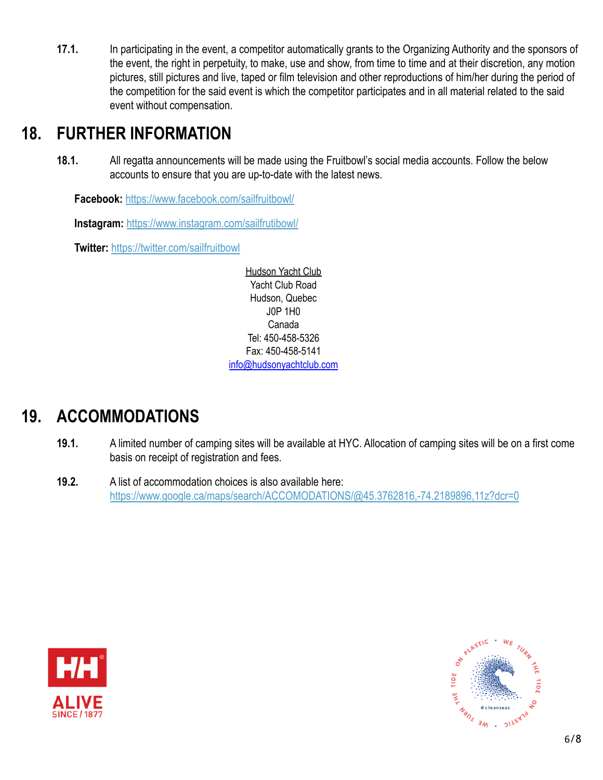**17.1.** In participating in the event, a competitor automatically grants to the Organizing Authority and the sponsors of the event, the right in perpetuity, to make, use and show, from time to time and at their discretion, any motion pictures, still pictures and live, taped or film television and other reproductions of him/her during the period of the competition for the said event is which the competitor participates and in all material related to the said event without compensation.

#### **18. FURTHER INFORMATION**

**18.1.** All regatta announcements will be made using the Fruitbowl's social media accounts. Follow the below accounts to ensure that you are up-to-date with the latest news.

**Facebook:** <https://www.facebook.com/sailfruitbowl/>

**Instagram:** <https://www.instagram.com/sailfrutibowl/>

**Twitter:** <https://twitter.com/sailfruitbowl>

[Hudson](https://goo.gl/maps/1EmbLqdZZ2z) Yacht Club Yacht Club Road Hudson, Quebec J0P 1H0 Canada Tel: 450-458-5326 Fax: 450-458-5141 [info@hudsonyachtclub.com](mailto:info@hudsonyachtclub.com)

## **19. ACCOMMODATIONS**

- **19.1.** A limited number of camping sites will be available at HYC. Allocation of camping sites will be on a first come basis on receipt of registration and fees.
- **19.2.** A list of accommodation choices is also available here: <https://www.google.ca/maps/search/ACCOMODATIONS/@45.3762816,-74.2189896,11z?dcr=0>



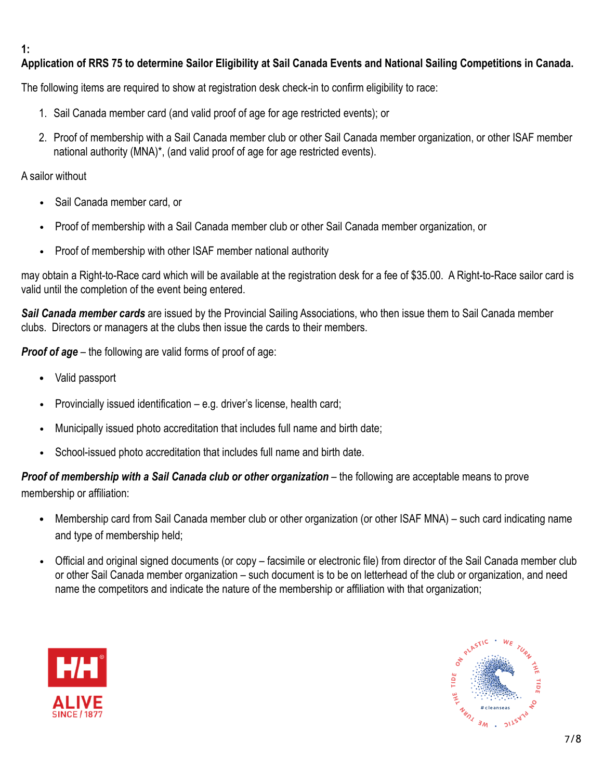#### **1:**

#### **Application of RRS 75 to determine Sailor Eligibility at Sail Canada Events and National Sailing Competitions in Canada.**

The following items are required to show at registration desk check-in to confirm eligibility to race:

- 1. Sail Canada member card (and valid proof of age for age restricted events); or
- 2. Proof of membership with a Sail Canada member club or other Sail Canada member organization, or other ISAF member national authority (MNA)\*, (and valid proof of age for age restricted events).

#### A sailor without

- Sail Canada member card, or
- Proof of membership with a Sail Canada member club or other Sail Canada member organization, or
- Proof of membership with other ISAF member national authority

may obtain a Right-to-Race card which will be available at the registration desk for a fee of \$35.00. A Right-to-Race sailor card is valid until the completion of the event being entered.

*Sail Canada member cards* are issued by the Provincial Sailing Associations, who then issue them to Sail Canada member clubs. Directors or managers at the clubs then issue the cards to their members.

*Proof of age* – the following are valid forms of proof of age:

- Valid passport
- Provincially issued identification e.g. driver's license, health card;
- Municipally issued photo accreditation that includes full name and birth date;
- School-issued photo accreditation that includes full name and birth date.

**Proof of membership with a Sail Canada club or other organization** – the following are acceptable means to prove membership or affiliation:

- Membership card from Sail Canada member club or other organization (or other ISAF MNA) such card indicating name and type of membership held;
- Official and original signed documents (or copy facsimile or electronic file) from director of the Sail Canada member club or other Sail Canada member organization – such document is to be on letterhead of the club or organization, and need name the competitors and indicate the nature of the membership or affiliation with that organization;